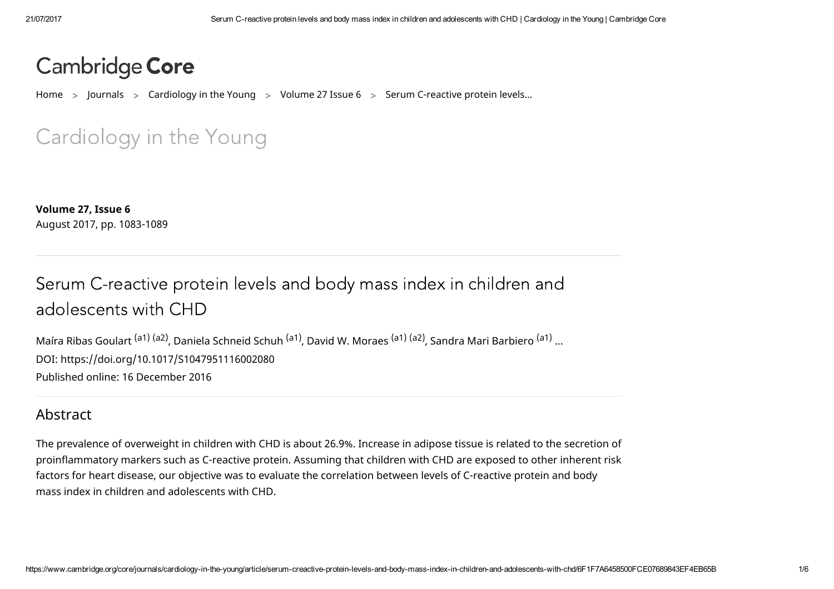# Cambridge Core

[Home](https://www.cambridge.org/core/)  $\,$  ) [Journals](https://www.cambridge.org/core/what-we-publish/journals)  $\,$   $\,$  [Cardiology](https://www.cambridge.org/core/journals/cardiology-in-the-young) in the Young  $\,$   $\,$  [Volume](https://www.cambridge.org/core/journals/cardiology-in-the-young/issue/876F1EA14D9A6E4C2A19A7661BBAEF6D) 27 Issue 6  $\,$   $\,$  Serum C-reactive protein levels...

Car[diol](http://www.cambridge.org/academic/journals-content-alerts/)ogy in the Young

[Volume](https://www.cambridge.org/core/journals/cardiology-in-the-young/volume/B01378B97A4F493B55705EAEF3F6C642) 27, [Issue](https://www.cambridge.org/core/journals/cardiology-in-the-young/issue/876F1EA14D9A6E4C2A19A7661BBAEF6D) 6 August 2017, pp. 1083-1089

# Serum C-reactive protein levels and body mass index in children and

Maíra Ribas Goulart (a1) (a2) , Daniela Schneid Schuh (a1) , David W. [Moraes](https://www.cambridge.org/core/search?filters%5BauthorTerms%5D=David%20W.%20Moraes&eventCode=SE-AU) (a1) (a2) , Sandra Mari [Barbiero](https://www.cambridge.org/core/search?filters%5BauthorTerms%5D=Sandra%20Mari%20Barbiero&eventCode=SE-AU) (a1) ... [adolescents](https://www.cambridge.org/core/search?filters%5BauthorTerms%5D=Ma%C3%ADra%20Ribas%20Goulart&eventCode=SE-AU) with [CHD](https://www.cambridge.org/core/search?filters%5BauthorTerms%5D=Daniela%20Schneid%20Schuh&eventCode=SE-AU) DOI: <https://doi.org/10.1017/S1047951116002080> Published online: 16 December 2016

#### Abstract

The prevalence of overweight in children with CHD is about 26.9%. Increase in adipose tissue is related to the secretion of proinflammatory markers such as C-reactive protein. Assuming that children with CHD are exposed to other inherent risk factors for heart disease, our objective was to evaluate the correlation between levels of C-reactive protein and body mass index in children and adolescents with CHD.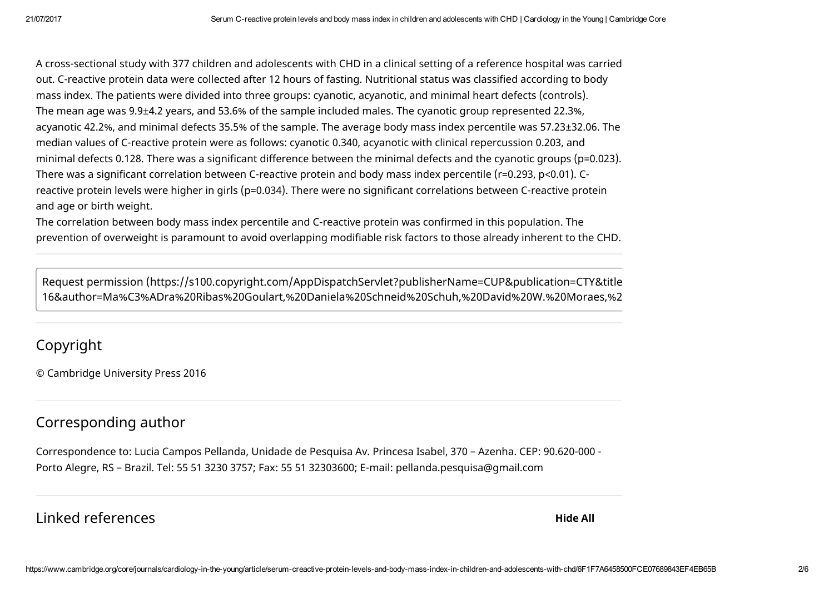A cross-sectional study with 377 children and adolescents with CHD in a clinical setting of a reference hospital was carried out. C-reactive protein data were collected after 12 hours of fasting. Nutritional status was classified according to body mass index. The patients were divided into three groups: cyanotic, acyanotic, and minimal heart defects (controls). The mean age was 9.9±4.2 years, and 53.6% of the sample included males. The cyanotic group represented 22.3%, acyanotic 42.2%, and minimal defects 35.5% of the sample. The average body mass index percentile was 57.23±32.06. The median values of C-reactive protein were as follows: cyanotic 0.340, acyanotic with clinical repercussion 0.203, and minimal defects 0.128. There was a significant difference between the minimal defects and the cyanotic groups (p=0.023). There was a significant correlation between C-reactive protein and body mass index percentile (r=0.293, p<0.01). Creactive protein levels were higher in girls (p=0.034). There were no significant correlations between C-reactive protein and age or birth weight.

The correlation between body mass index percentile and C-reactive protein was confirmed in this population. The prevention of overweight is paramount to avoid overlapping modifiable risk factors to those already inherent to the CHD.

Request permission (https://s100.copyright.com/AppDispatchServlet?publisherName=CUP&publication=CTY&title [16&author=Ma%C3%ADra%20Ribas%20Goulart,%20Daniela%20Schneid%20Schuh,%20David%20W.%20Moraes,%2](https://s100.copyright.com/AppDispatchServlet?publisherName=CUP&publication=CTY&title=Serum%20C-reactive%20protein%20levels%20and%20body%20mass%20index%20in%20children%20and%20adolescents%20with%20CHD&publicationDate=2016-12-16&author=Ma%C3%ADra%20Ribas%20Goulart,%20Daniela%20Schneid%20Schuh,%20David%20W.%20Moraes,%20Sandra%20Mari%20Barbiero,%20Lucia%20Campos%20Pellanda©right=%C2%A9%20Cambridge%20University%20Press%202016%C2%A0&contentID=10.1017/S1047951116002080&startPage=1083&endPage=1089&orderBeanReset=True&volumeNum=27&issueNum=6)

## Copyright

© Cambridge University Press 2016

## Corresponding author

Correspondence to: Lucia Campos Pellanda, Unidade de Pesquisa Av. Princesa Isabel, 370 – Azenha. CEP: 90.620-000 - Porto Alegre, RS – Brazil. Tel: 55 51 3230 3757; Fax: 55 51 32303600; E-mail: pellanda.pesquisa@gmail.com

#### Linked [references](#page-2-0)

Hide All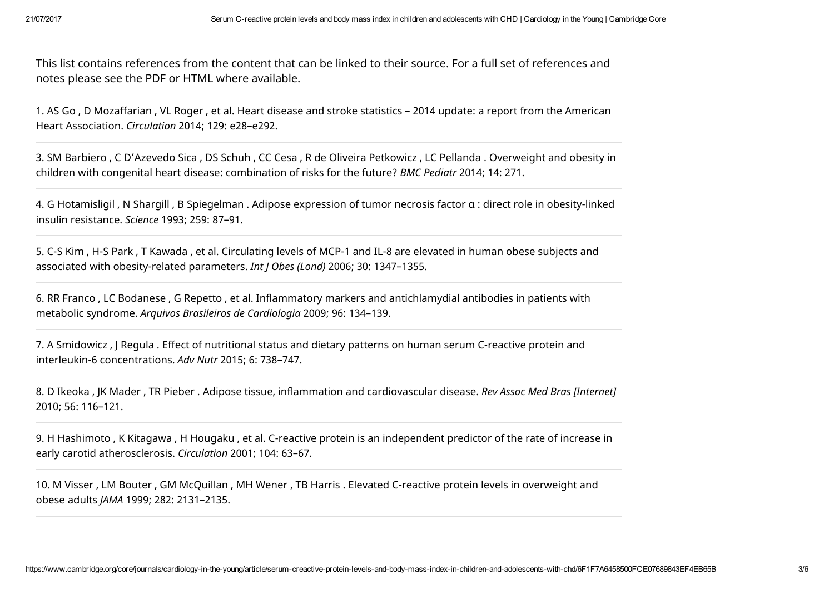This list contains references from the content that can be linked to their source. For a full set of references and notes please see the PDF or HTML where available.

<span id="page-2-0"></span>1. AS Go , D Mozaffarian , VL Roger , et al. Heart disease and stroke statistics – 2014 update: a report from the American Heart Association. *Circulation* 2014; 129: e28–e292.

3. SM Barbiero , C D'Azevedo Sica , DS Schuh , CC Cesa , R de Oliveira Petkowicz , LC Pellanda . Overweight and obesity in children with congenital heart disease: combination of risks for the future? *BMC Pediatr* 2014; 14: 271.

4. G Hotamisligil , N Shargill , B Spiegelman . Adipose expression of tumor necrosis factor α : direct role in obesity-linked insulin resistance. *Science* 1993; 259: 87–91.

5. C-S Kim , H-S Park , T Kawada , et al. Circulating levels of MCP-1 and IL-8 are elevated in human obese subjects and associated with obesity-related parameters. *Int J Obes (Lond)* 2006; 30: 1347–1355.

6. RR Franco , LC Bodanese , G Repetto , et al. Inflammatory markers and antichlamydial antibodies in patients with metabolic syndrome. *Arquivos Brasileiros de Cardiologia* 2009; 96: 134–139.

7. A Smidowicz , J Regula . Effect of nutritional status and dietary patterns on human serum C-reactive protein and interleukin-6 concentrations. *Adv Nutr* 2015; 6: 738–747.

8. D Ikeoka , JK Mader , TR Pieber . Adipose tissue, inflammation and cardiovascular disease. *Rev Assoc Med Bras [Internet]* 2010; 56: 116–121.

9. H Hashimoto , K Kitagawa , H Hougaku , et al. C-reactive protein is an independent predictor of the rate of increase in early carotid atherosclerosis. *Circulation* 2001; 104: 63–67.

10. M Visser , LM Bouter , GM McQuillan , MH Wener , TB Harris . Elevated C-reactive protein levels in overweight and obese adults *JAMA* 1999; 282: 2131–2135.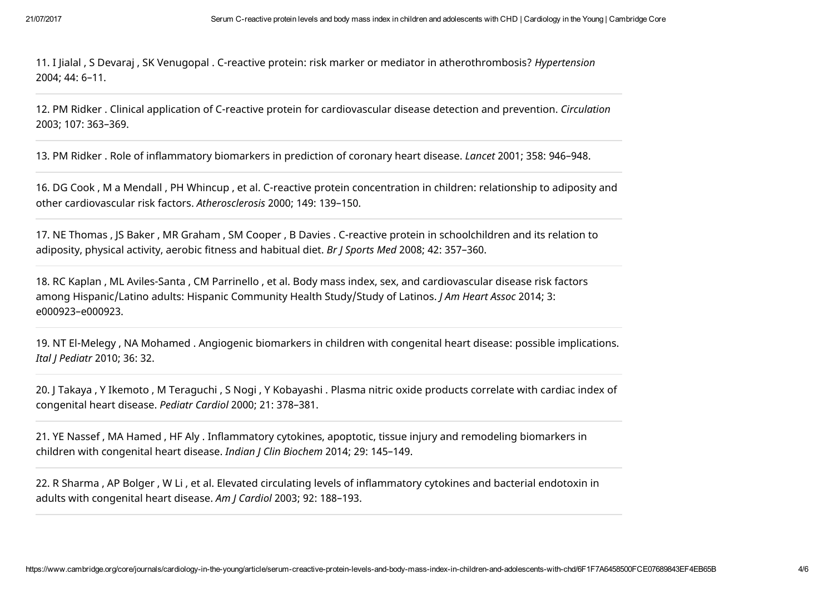11. I Jialal , S Devaraj , SK Venugopal . C-reactive protein: risk marker or mediator in atherothrombosis? *Hypertension* 2004; 44: 6–11.

12. PM Ridker . Clinical application of C-reactive protein for cardiovascular disease detection and prevention. *Circulation* 2003; 107: 363–369.

13. PM Ridker . Role of inflammatory biomarkers in prediction of coronary heart disease. *Lancet* 2001; 358: 946–948.

16. DG Cook , M a Mendall , PH Whincup , et al. C-reactive protein concentration in children: relationship to adiposity and other cardiovascular risk factors. *Atherosclerosis* 2000; 149: 139–150.

17. NE Thomas , JS Baker , MR Graham , SM Cooper , B Davies . C-reactive protein in schoolchildren and its relation to adiposity, physical activity, aerobic fitness and habitual diet. *Br J Sports Med* 2008; 42: 357–360.

18. RC Kaplan , ML Aviles-Santa , CM Parrinello , et al. Body mass index, sex, and cardiovascular disease risk factors among Hispanic/Latino adults: Hispanic Community Health Study/Study of Latinos. *J Am Heart Assoc* 2014; 3: e000923–e000923.

19. NT El-Melegy , NA Mohamed . Angiogenic biomarkers in children with congenital heart disease: possible implications. *Ital J Pediatr* 2010; 36: 32.

20. J Takaya , Y Ikemoto , M Teraguchi , S Nogi , Y Kobayashi . Plasma nitric oxide products correlate with cardiac index of congenital heart disease. *Pediatr Cardiol* 2000; 21: 378–381.

21. YE Nassef , MA Hamed , HF Aly . Inflammatory cytokines, apoptotic, tissue injury and remodeling biomarkers in children with congenital heart disease. *Indian J Clin Biochem* 2014; 29: 145–149.

22. R Sharma , AP Bolger , W Li , et al. Elevated circulating levels of inflammatory cytokines and bacterial endotoxin in adults with congenital heart disease. *Am J Cardiol* 2003; 92: 188–193.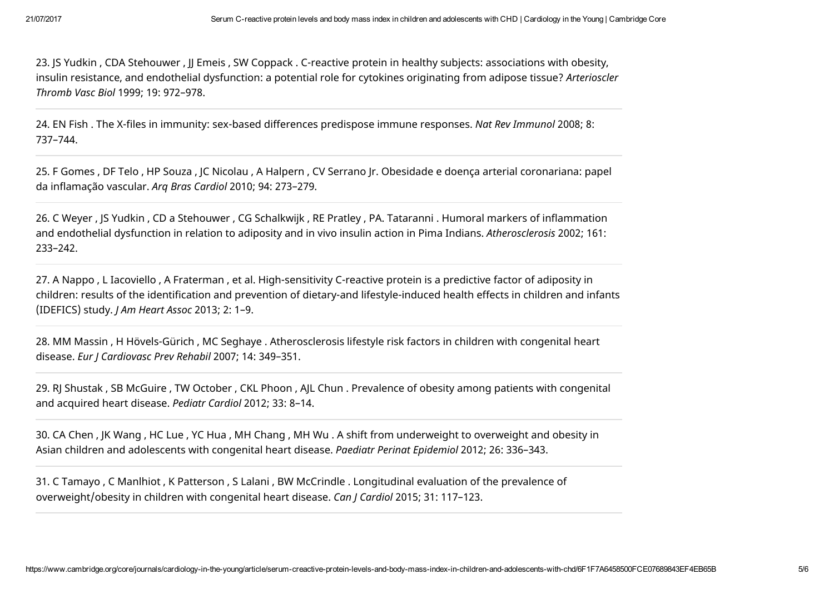23. JS Yudkin , CDA Stehouwer , JJ Emeis , SW Coppack . C-reactive protein in healthy subjects: associations with obesity, insulin resistance, and endothelial dysfunction: a potential role for cytokines originating from adipose tissue? *Arterioscler Thromb Vasc Biol* 1999; 19: 972–978.

24. EN Fish . The X-files in immunity: sex-based differences predispose immune responses. *Nat Rev Immunol* 2008; 8: 737–744.

25. F Gomes , DF Telo , HP Souza , JC Nicolau , A Halpern , CV Serrano Jr. Obesidade e doença arterial coronariana: papel da inflamação vascular. *Arq Bras Cardiol* 2010; 94: 273–279.

26. C Weyer , JS Yudkin , CD a Stehouwer , CG Schalkwijk , RE Pratley , PA. Tataranni . Humoral markers of inflammation and endothelial dysfunction in relation to adiposity and in vivo insulin action in Pima Indians. *Atherosclerosis* 2002; 161: 233–242.

27. A Nappo , L Iacoviello , A Fraterman , et al. High-sensitivity C-reactive protein is a predictive factor of adiposity in children: results of the identification and prevention of dietary-and lifestyle-induced health effects in children and infants (IDEFICS) study. *J Am Heart Assoc* 2013; 2: 1–9.

28. MM Massin , H Hövels-Gürich , MC Seghaye . Atherosclerosis lifestyle risk factors in children with congenital heart disease. *Eur J Cardiovasc Prev Rehabil* 2007; 14: 349–351.

29. RJ Shustak , SB McGuire , TW October , CKL Phoon , AJL Chun . Prevalence of obesity among patients with congenital and acquired heart disease. *Pediatr Cardiol* 2012; 33: 8–14.

30. CA Chen , JK Wang , HC Lue , YC Hua , MH Chang , MH Wu . A shift from underweight to overweight and obesity in Asian children and adolescents with congenital heart disease. *Paediatr Perinat Epidemiol* 2012; 26: 336–343.

31. C Tamayo , C Manlhiot , K Patterson , S Lalani , BW McCrindle . Longitudinal evaluation of the prevalence of overweight/obesity in children with congenital heart disease. *Can J Cardiol* 2015; 31: 117–123.